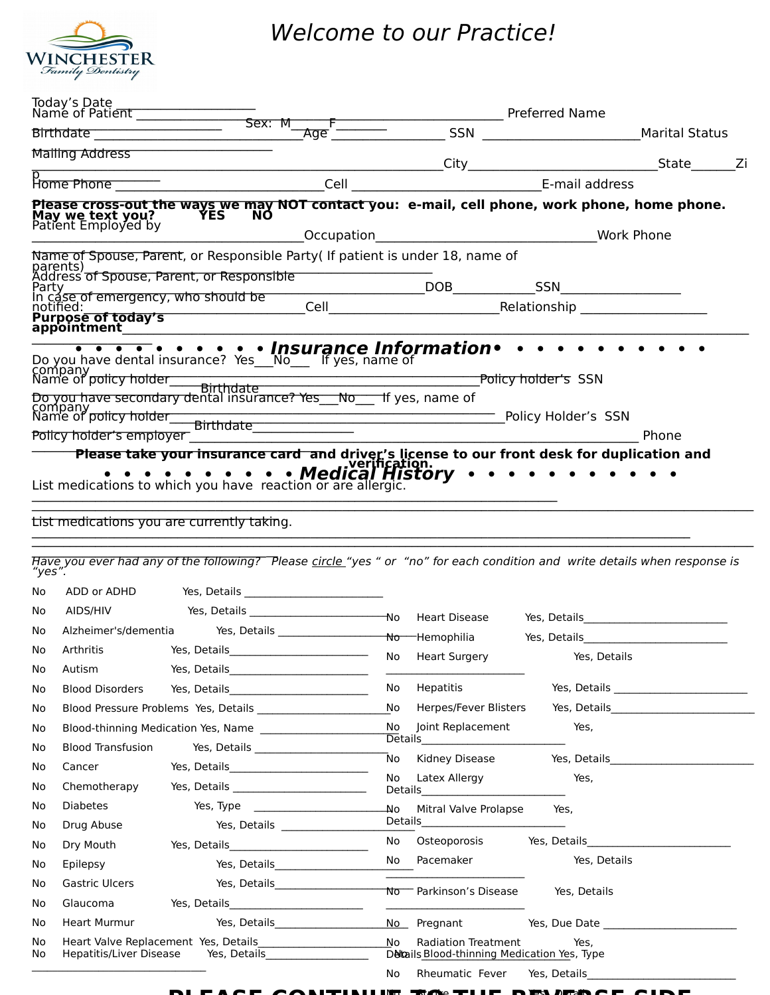

## Welcome to our Practice!

|                                       | Today's Date                                                                                                                                                                                                                                                                               |                                                               |                  |              |       |  |
|---------------------------------------|--------------------------------------------------------------------------------------------------------------------------------------------------------------------------------------------------------------------------------------------------------------------------------------------|---------------------------------------------------------------|------------------|--------------|-------|--|
|                                       |                                                                                                                                                                                                                                                                                            |                                                               |                  |              |       |  |
|                                       | Mailing Address                                                                                                                                                                                                                                                                            | <u> 1989 - Jan James James Barbara, politik eta idazlea (</u> |                  |              |       |  |
|                                       |                                                                                                                                                                                                                                                                                            |                                                               |                  |              |       |  |
|                                       | Please cross-out the ways we may NOT contact you: e-mail, cell phone, work phone, home phone.<br>May we text you?<br>Patient Employed by                                                                                                                                                   |                                                               |                  |              |       |  |
|                                       | Name of Spouse, Parent, or Responsible Party( If patient is under 18, name of<br>parents)<br>Address of Spouse, Parent, or Responsible<br>In cáse of emergency, who should be<br>notified:<br>Purpose of today's<br>appointment_________                                                   |                                                               |                  |              |       |  |
|                                       | company<br>Name of policy holder<br>Policy holder's employer<br>Please take your insurance card and driver's license to our front desk for duplication and<br>List medications to which you have reaction or are allergic.<br>List medications to which you have reaction or are allergic. |                                                               |                  |              | Phone |  |
|                                       | List medications you are currently taking.<br>Have you ever had any of the following? Please circle "yes " or "no" for each condition and write details when response is                                                                                                                   |                                                               |                  |              |       |  |
| "yes".<br>No.<br>No<br>No<br>No<br>No | AIDS/HIV<br>Arthritis<br>Autism                                                                                                                                                                                                                                                            |                                                               | No Heart Surgery | Yes, Details |       |  |
| No.                                   | <b>Blood Disorders</b>                                                                                                                                                                                                                                                                     |                                                               | No Hepatitis     |              |       |  |

|           |                                      |                                                                             | <del>No H</del> emophilia Yes, Details Yes and the Monday Monday Yes are the Monday Monday Monday Monday Monday Monday Mon                                                                                                           |  |
|-----------|--------------------------------------|-----------------------------------------------------------------------------|--------------------------------------------------------------------------------------------------------------------------------------------------------------------------------------------------------------------------------------|--|
| No        | Arthritis                            |                                                                             | No Heart Surgery<br>Yes, Details                                                                                                                                                                                                     |  |
| No        |                                      | Autism Yes, Details Communication Contains                                  |                                                                                                                                                                                                                                      |  |
| No        |                                      | Blood Disorders Yes, Details ________________________                       | No Hepatitis and the Hepatitis                                                                                                                                                                                                       |  |
| No        |                                      | Blood Pressure Problems Yes, Details <b>Exercises</b> Problems Yes, Details |                                                                                                                                                                                                                                      |  |
| No        | Blood-thinning Medication Yes, Name  |                                                                             | No Joint Replacement<br>Yes,                                                                                                                                                                                                         |  |
| No        |                                      | Blood Transfusion Yes, Details 2008                                         |                                                                                                                                                                                                                                      |  |
| No        |                                      |                                                                             | No Kidney Disease Yes, Details Messers Allen Management Contains                                                                                                                                                                     |  |
| No        |                                      |                                                                             | No Latex Allergy<br>Yes,                                                                                                                                                                                                             |  |
| No        |                                      |                                                                             | Yes,                                                                                                                                                                                                                                 |  |
| No        | Drug Abuse <b>Santa</b>              |                                                                             |                                                                                                                                                                                                                                      |  |
| No        |                                      | Dry Mouth Yes, Details Charles Mouth                                        | No Osteoporosis Yes, Details                                                                                                                                                                                                         |  |
| No        | Epilepsy                             | Yes, Details<br><u>Land and an allegement</u>                               | No Pacemaker No Yes, Details                                                                                                                                                                                                         |  |
| No        |                                      |                                                                             | the control of the control of the control of the control of the<br>Gastric Ulcers <b>Exercise Security Constructs</b> Ves, Details Mo Parkinson's Disease Yes, Details                                                               |  |
| No        |                                      |                                                                             | <u> Territoria de la contenentación de la contenentación de la contenentación de la contenentación de la contenentación de la contenentación de la contenentación de la contenentación de la contenentación de la contenentación</u> |  |
| No        |                                      | Heart Murmur Yes, Details                                                   | No Pregnant Yes, Due Date                                                                                                                                                                                                            |  |
| No.<br>No | Hepatitis/Liver Disease Yes, Details |                                                                             | No Radiation Treatment Yes.<br>Detcails Blood-thinning Medication Yes, Type                                                                                                                                                          |  |
|           |                                      |                                                                             | No Rheumatic Fever Yes, Details                                                                                                                                                                                                      |  |
|           |                                      |                                                                             |                                                                                                                                                                                                                                      |  |